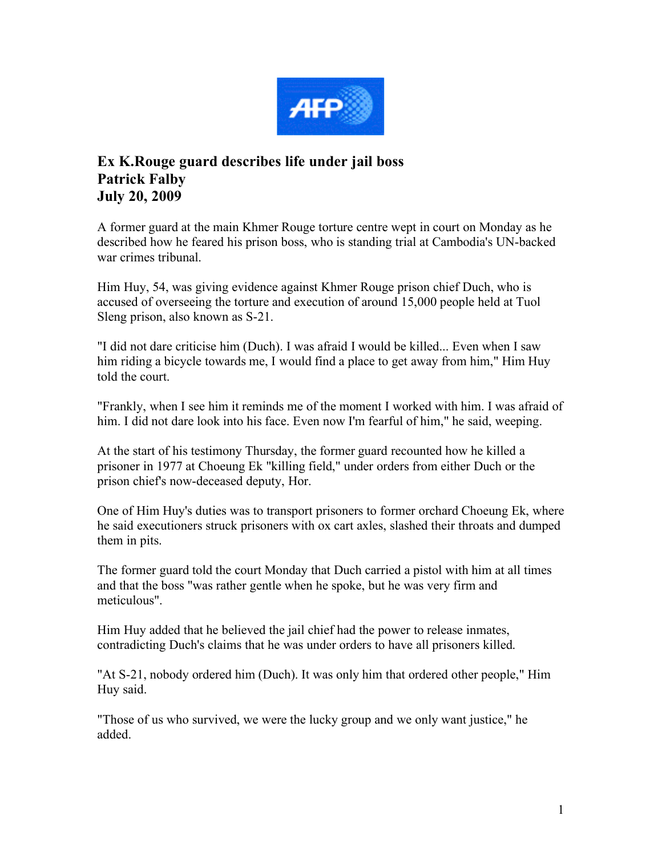

## **Ex K.Rouge guard describes life under jail boss Patrick Falby July 20, 2009**

A former guard at the main Khmer Rouge torture centre wept in court on Monday as he described how he feared his prison boss, who is standing trial at Cambodia's UN-backed war crimes tribunal.

Him Huy, 54, was giving evidence against Khmer Rouge prison chief Duch, who is accused of overseeing the torture and execution of around 15,000 people held at Tuol Sleng prison, also known as S-21.

"I did not dare criticise him (Duch). I was afraid I would be killed... Even when I saw him riding a bicycle towards me, I would find a place to get away from him," Him Huy told the court.

"Frankly, when I see him it reminds me of the moment I worked with him. I was afraid of him. I did not dare look into his face. Even now I'm fearful of him," he said, weeping.

At the start of his testimony Thursday, the former guard recounted how he killed a prisoner in 1977 at Choeung Ek "killing field," under orders from either Duch or the prison chief's now-deceased deputy, Hor.

One of Him Huy's duties was to transport prisoners to former orchard Choeung Ek, where he said executioners struck prisoners with ox cart axles, slashed their throats and dumped them in pits.

The former guard told the court Monday that Duch carried a pistol with him at all times and that the boss "was rather gentle when he spoke, but he was very firm and meticulous".

Him Huy added that he believed the jail chief had the power to release inmates, contradicting Duch's claims that he was under orders to have all prisoners killed.

"At S-21, nobody ordered him (Duch). It was only him that ordered other people," Him Huy said.

"Those of us who survived, we were the lucky group and we only want justice," he added.